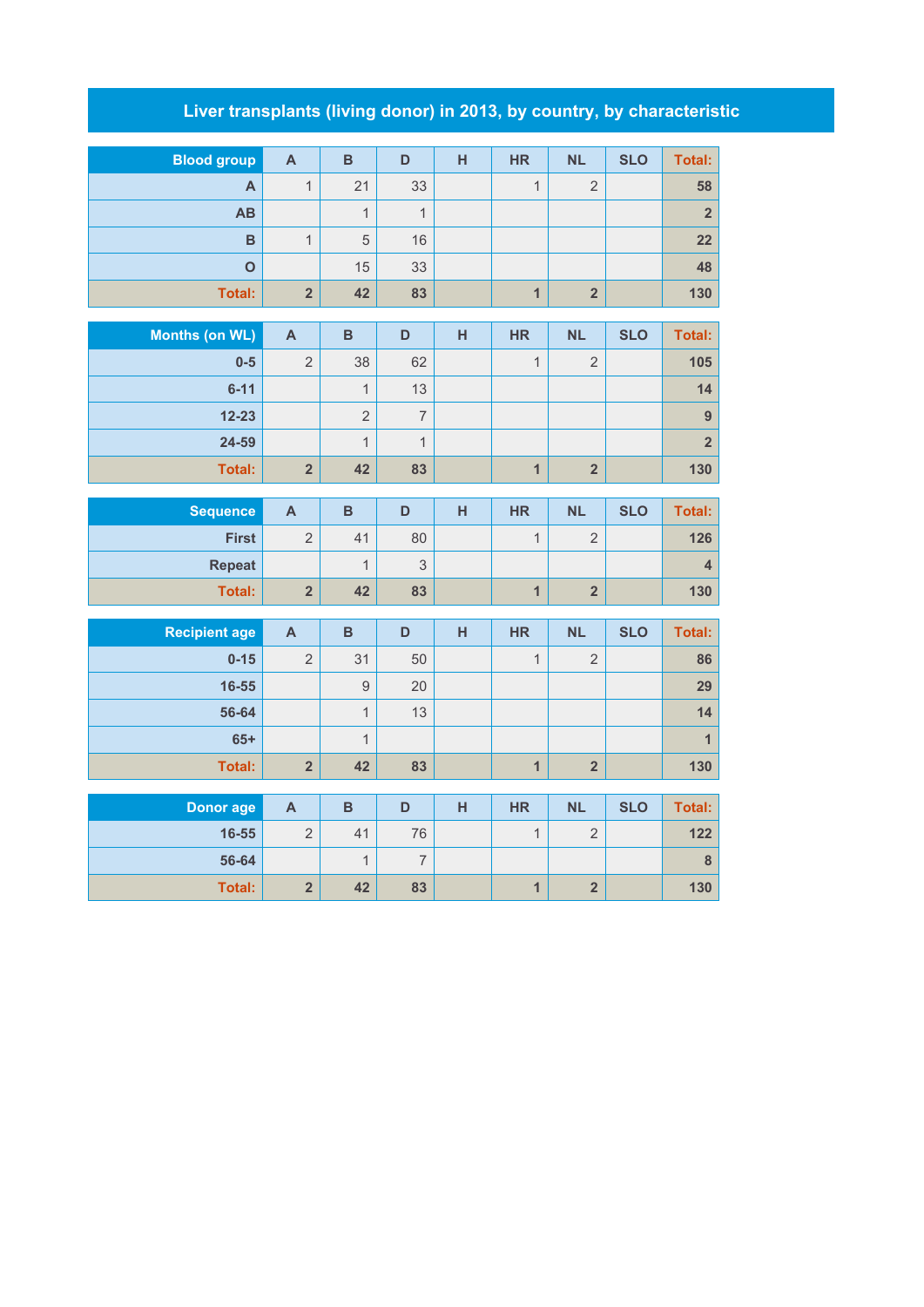## **Liver transplants (living donor) in 2013, by country, by characteristic**

| <b>Blood group</b>    | $\boldsymbol{\mathsf{A}}$ | $\overline{B}$ | D                        | H | <b>HR</b>      | <b>NL</b>               | <b>SLO</b> | <b>Total:</b>           |
|-----------------------|---------------------------|----------------|--------------------------|---|----------------|-------------------------|------------|-------------------------|
| A                     | $\mathbf{1}$              | 21             | 33                       |   | $\mathbf{1}$   | $\overline{2}$          |            | 58                      |
| AB                    |                           | $\mathbf{1}$   | $\mathbf{1}$             |   |                |                         |            | $\overline{2}$          |
| B                     | $\overline{1}$            | 5              | 16                       |   |                |                         |            | 22                      |
| $\overline{O}$        |                           | 15             | 33                       |   |                |                         |            | 48                      |
| <b>Total:</b>         | $\overline{\mathbf{2}}$   | 42             | 83                       |   | $\overline{1}$ | $\overline{\mathbf{2}}$ |            | 130                     |
|                       |                           |                |                          |   |                |                         |            |                         |
| <b>Months (on WL)</b> | $\mathsf{A}$              | $\overline{B}$ | D                        | H | <b>HR</b>      | <b>NL</b>               | <b>SLO</b> | Total:                  |
| $0-5$                 | $\overline{2}$            | 38             | 62                       |   | $\mathbf{1}$   | $\overline{2}$          |            | 105                     |
| $6 - 11$              |                           | $\mathbf{1}$   | 13                       |   |                |                         |            | 14                      |
| $12 - 23$             |                           | $\sqrt{2}$     | $\overline{\mathcal{I}}$ |   |                |                         |            | 9                       |
| 24-59                 |                           | $\mathbf{1}$   | $\mathbf{1}$             |   |                |                         |            | $\overline{\mathbf{2}}$ |
| Total:                | $\overline{\mathbf{2}}$   | 42             | 83                       |   | $\overline{1}$ | $\overline{\mathbf{2}}$ |            | 130                     |
| <b>Sequence</b>       | $\boldsymbol{\mathsf{A}}$ | $\overline{B}$ | D                        | H | <b>HR</b>      | <b>NL</b>               | <b>SLO</b> | <b>Total:</b>           |
| <b>First</b>          | $\overline{2}$            | 41             | 80                       |   | $\overline{1}$ | $\overline{2}$          |            | 126                     |
| <b>Repeat</b>         |                           | $\mathbf{1}$   | 3                        |   |                |                         |            | $\overline{\mathbf{4}}$ |
| <b>Total:</b>         | $\overline{\mathbf{2}}$   | 42             | 83                       |   | $\overline{1}$ | $\overline{\mathbf{2}}$ |            | 130                     |
|                       |                           |                |                          |   |                |                         |            |                         |
| <b>Recipient age</b>  | $\mathbf{A}$              | $\overline{B}$ | D                        | H | <b>HR</b>      | <b>NL</b>               | <b>SLO</b> | <b>Total:</b>           |
| $0 - 15$              | $\overline{c}$            | 31             | 50                       |   | $\overline{1}$ | $\overline{2}$          |            | 86                      |
| 16-55                 |                           | $\mathsf g$    | 20                       |   |                |                         |            | 29                      |
| 56-64                 |                           | $\mathbf{1}$   | 13                       |   |                |                         |            | 14                      |
| $65+$                 |                           | $\mathbf{1}$   |                          |   |                |                         |            | $\overline{1}$          |
| Total:                | $\overline{\mathbf{2}}$   | 42             | 83                       |   | $\overline{1}$ | $\overline{\mathbf{2}}$ |            | 130                     |
| <b>Donor age</b>      | $\boldsymbol{\mathsf{A}}$ | $\overline{B}$ | D                        | H | <b>HR</b>      | <b>NL</b>               | <b>SLO</b> | <b>Total:</b>           |
| 16-55                 | $\mathbf 2$               | 41             | 76                       |   | $\overline{1}$ | $\overline{2}$          |            | 122                     |
| 56-64                 |                           | $\mathbf{1}$   | $\overline{7}$           |   |                |                         |            | $\bf{8}$                |
| <b>Total:</b>         | $\overline{\mathbf{2}}$   | 42             | 83                       |   | $\mathbf{1}$   | $\overline{\mathbf{2}}$ |            | 130                     |